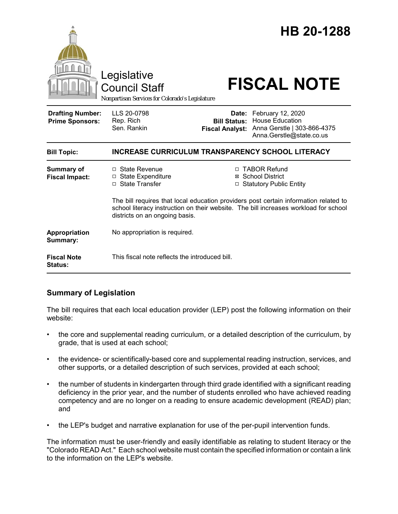|                                                   | Legislative<br><b>Council Staff</b><br>Nonpartisan Services for Colorado's Legislature                                                                                                                         |                                               | HB 20-1288<br><b>FISCAL NOTE</b>                                                                             |  |
|---------------------------------------------------|----------------------------------------------------------------------------------------------------------------------------------------------------------------------------------------------------------------|-----------------------------------------------|--------------------------------------------------------------------------------------------------------------|--|
| <b>Drafting Number:</b><br><b>Prime Sponsors:</b> | LLS 20-0798<br>Rep. Rich<br>Sen. Rankin                                                                                                                                                                        | <b>Bill Status:</b><br><b>Fiscal Analyst:</b> | Date: February 12, 2020<br><b>House Education</b><br>Anna Gerstle   303-866-4375<br>Anna.Gerstle@state.co.us |  |
| <b>Bill Topic:</b>                                | <b>INCREASE CURRICULUM TRANSPARENCY SCHOOL LITERACY</b>                                                                                                                                                        |                                               |                                                                                                              |  |
| <b>Summary of</b><br><b>Fiscal Impact:</b>        | □ State Revenue<br>□ State Expenditure<br>□ State Transfer                                                                                                                                                     |                                               | □ TABOR Refund<br>⊠ School District<br>□ Statutory Public Entity                                             |  |
|                                                   | The bill requires that local education providers post certain information related to<br>school literacy instruction on their website. The bill increases workload for school<br>districts on an ongoing basis. |                                               |                                                                                                              |  |
| Appropriation<br>Summary:                         | No appropriation is required.                                                                                                                                                                                  |                                               |                                                                                                              |  |
| <b>Fiscal Note</b><br>Status:                     | This fiscal note reflects the introduced bill.                                                                                                                                                                 |                                               |                                                                                                              |  |

## **Summary of Legislation**

The bill requires that each local education provider (LEP) post the following information on their website:

- the core and supplemental reading curriculum, or a detailed description of the curriculum, by grade, that is used at each school;
- the evidence- or scientifically-based core and supplemental reading instruction, services, and other supports, or a detailed description of such services, provided at each school;
- the number of students in kindergarten through third grade identified with a significant reading deficiency in the prior year, and the number of students enrolled who have achieved reading competency and are no longer on a reading to ensure academic development (READ) plan; and
- the LEP's budget and narrative explanation for use of the per-pupil intervention funds.

The information must be user-friendly and easily identifiable as relating to student literacy or the "Colorado READ Act." Each school website must contain the specified information or contain a link to the information on the LEP's website.